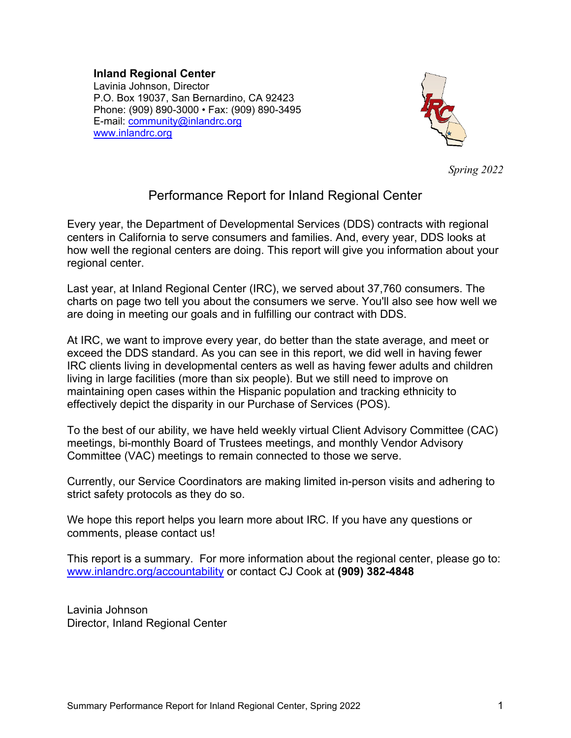#### **Inland Regional Center**

Lavinia Johnson, Director P.O. Box 19037, San Bernardino, CA 92423 Phone: (909) 890-3000 • Fax: (909) 890-3495 E-mail: [community@inlandrc.org](mailto:community@inlandrc.org) [www.inlandrc.org](http://www.inlandrc.org/) 



*Spring 2022*

# Performance Report for Inland Regional Center

Every year, the Department of Developmental Services (DDS) contracts with regional centers in California to serve consumers and families. And, every year, DDS looks at how well the regional centers are doing. This report will give you information about your regional center.

Last year, at Inland Regional Center (IRC), we served about 37,760 consumers. The charts on page two tell you about the consumers we serve. You'll also see how well we are doing in meeting our goals and in fulfilling our contract with DDS.

At IRC, we want to improve every year, do better than the state average, and meet or exceed the DDS standard. As you can see in this report, we did well in having fewer IRC clients living in developmental centers as well as having fewer adults and children living in large facilities (more than six people). But we still need to improve on maintaining open cases within the Hispanic population and tracking ethnicity to effectively depict the disparity in our Purchase of Services (POS).

To the best of our ability, we have held weekly virtual Client Advisory Committee (CAC) meetings, bi-monthly Board of Trustees meetings, and monthly Vendor Advisory Committee (VAC) meetings to remain connected to those we serve.

Currently, our Service Coordinators are making limited in-person visits and adhering to strict safety protocols as they do so.

We hope this report helps you learn more about IRC. If you have any questions or comments, please contact us!

This report is a summary. For more information about the regional center, please go to: [www.inlandrc.org/accountability](http://www.inlandrc.org/accountability) or contact CJ Cook at **(909) 382-4848**

Lavinia Johnson Director, Inland Regional Center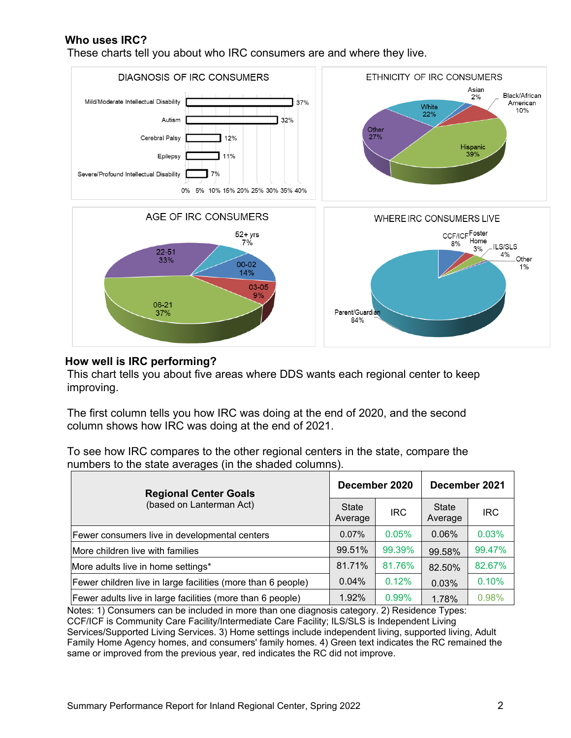### **Who uses IRC?**

These charts tell you about who IRC consumers are and where they live.



#### **How well is IRC performing?**

This chart tells you about five areas where DDS wants each regional center to keep improving.

The first column tells you how IRC was doing at the end of 2020, and the second column shows how IRC was doing at the end of 2021.

To see how IRC compares to the other regional centers in the state, compare the numbers to the state averages (in the shaded columns).

| <b>Regional Center Goals</b><br>(based on Lanterman Act)     |          | December 2020 | December 2021           |            |  |
|--------------------------------------------------------------|----------|---------------|-------------------------|------------|--|
|                                                              |          | <b>IRC</b>    | <b>State</b><br>Average | <b>IRC</b> |  |
| Fewer consumers live in developmental centers                | $0.07\%$ | 0.05%         | 0.06%                   | 0.03%      |  |
| More children live with families                             |          | 99.39%        | 99.58%                  | 99.47%     |  |
| More adults live in home settings*                           |          | 81.76%        | 82.50%                  | 82.67%     |  |
| Fewer children live in large facilities (more than 6 people) |          | 0.12%         | 0.03%                   | 0.10%      |  |
| Fewer adults live in large facilities (more than 6 people)   | 1.92%    | 0.99%         | 1.78%                   | 0.98%      |  |

Notes: 1) Consumers can be included in more than one diagnosis category. 2) Residence Types: CCF/ICF is Community Care Facility/Intermediate Care Facility; ILS/SLS is Independent Living Services/Supported Living Services. 3) Home settings include independent living, supported living, Adult Family Home Agency homes, and consumers' family homes. 4) Green text indicates the RC remained the same or improved from the previous year, red indicates the RC did not improve.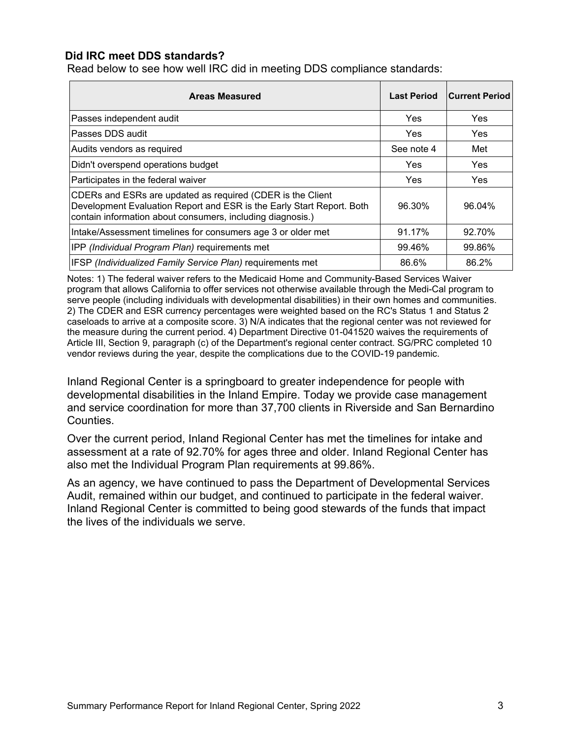### **Did IRC meet DDS standards?**

Read below to see how well IRC did in meeting DDS compliance standards:

| <b>Areas Measured</b>                                                                                                                                                                             | <b>Last Period</b> | <b>Current Period</b> |
|---------------------------------------------------------------------------------------------------------------------------------------------------------------------------------------------------|--------------------|-----------------------|
| Passes independent audit                                                                                                                                                                          | Yes                | <b>Yes</b>            |
| Passes DDS audit                                                                                                                                                                                  | Yes                | Yes                   |
| Audits vendors as required                                                                                                                                                                        | See note 4         | Met                   |
| Didn't overspend operations budget                                                                                                                                                                | Yes                | Yes                   |
| Participates in the federal waiver                                                                                                                                                                | Yes                | Yes                   |
| CDERs and ESRs are updated as required (CDER is the Client<br>Development Evaluation Report and ESR is the Early Start Report. Both<br>contain information about consumers, including diagnosis.) | 96.30%             | 96.04%                |
| Intake/Assessment timelines for consumers age 3 or older met                                                                                                                                      | 91.17%             | 92.70%                |
| IPP (Individual Program Plan) requirements met                                                                                                                                                    | 99.46%             | 99.86%                |
| IFSP (Individualized Family Service Plan) requirements met                                                                                                                                        | 86.6%              | 86.2%                 |

Notes: 1) The federal waiver refers to the Medicaid Home and Community-Based Services Waiver program that allows California to offer services not otherwise available through the Medi-Cal program to serve people (including individuals with developmental disabilities) in their own homes and communities. 2) The CDER and ESR currency percentages were weighted based on the RC's Status 1 and Status 2 caseloads to arrive at a composite score. 3) N/A indicates that the regional center was not reviewed for the measure during the current period. 4) Department Directive 01-041520 waives the requirements of Article III, Section 9, paragraph (c) of the Department's regional center contract. SG/PRC completed 10 vendor reviews during the year, despite the complications due to the COVID-19 pandemic.

Inland Regional Center is a springboard to greater independence for people with developmental disabilities in the Inland Empire. Today we provide case management and service coordination for more than 37,700 clients in Riverside and San Bernardino Counties.

Over the current period, Inland Regional Center has met the timelines for intake and assessment at a rate of 92.70% for ages three and older. Inland Regional Center has also met the Individual Program Plan requirements at 99.86%.

As an agency, we have continued to pass the Department of Developmental Services Audit, remained within our budget, and continued to participate in the federal waiver. Inland Regional Center is committed to being good stewards of the funds that impact the lives of the individuals we serve.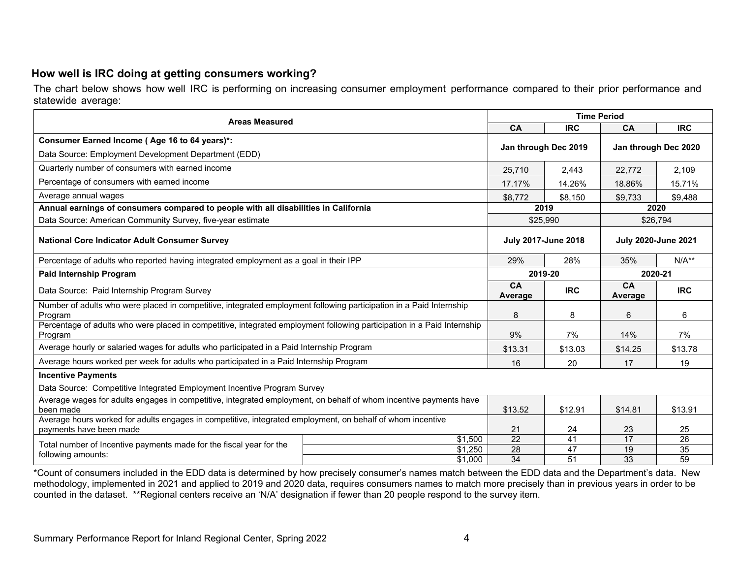# **How well is IRC doing at getting consumers working?**

The chart below shows how well IRC is performing on increasing consumer employment performance compared to their prior performance and statewide average:

| <b>Areas Measured</b>                                                                                                                 |                                                          |                                              | <b>Time Period</b>   |                 |                 |  |  |  |
|---------------------------------------------------------------------------------------------------------------------------------------|----------------------------------------------------------|----------------------------------------------|----------------------|-----------------|-----------------|--|--|--|
|                                                                                                                                       | CA                                                       | <b>IRC</b>                                   | <b>CA</b>            | <b>IRC</b>      |                 |  |  |  |
| Consumer Earned Income (Age 16 to 64 years)*:<br>Data Source: Employment Development Department (EDD)                                 |                                                          | Jan through Dec 2019<br>Jan through Dec 2020 |                      |                 |                 |  |  |  |
| Quarterly number of consumers with earned income                                                                                      | 25,710                                                   | 2,443                                        | 22,772               | 2,109           |                 |  |  |  |
| Percentage of consumers with earned income                                                                                            |                                                          | 17.17%                                       | 14.26%               | 18.86%          | 15.71%          |  |  |  |
| Average annual wages                                                                                                                  |                                                          | \$8,772                                      | \$8,150              | \$9,733         | \$9,488         |  |  |  |
| Annual earnings of consumers compared to people with all disabilities in California                                                   |                                                          |                                              | 2019                 | 2020            |                 |  |  |  |
| Data Source: American Community Survey, five-year estimate                                                                            |                                                          |                                              | \$25,990<br>\$26,794 |                 |                 |  |  |  |
| <b>National Core Indicator Adult Consumer Survey</b>                                                                                  | <b>July 2017-June 2018</b><br><b>July 2020-June 2021</b> |                                              |                      |                 |                 |  |  |  |
| Percentage of adults who reported having integrated employment as a goal in their IPP                                                 | 29%                                                      | 28%                                          | 35%                  | $N/A**$         |                 |  |  |  |
| <b>Paid Internship Program</b>                                                                                                        |                                                          | 2019-20                                      | 2020-21              |                 |                 |  |  |  |
| Data Source: Paid Internship Program Survey                                                                                           | <b>CA</b><br>Average                                     | <b>IRC</b>                                   | CA<br>Average        | <b>IRC</b>      |                 |  |  |  |
| Number of adults who were placed in competitive, integrated employment following participation in a Paid Internship<br>Program        | 8                                                        | 8                                            | 6                    | 6               |                 |  |  |  |
| Percentage of adults who were placed in competitive, integrated employment following participation in a Paid Internship<br>Program    | 9%                                                       | 7%                                           | 14%                  | 7%              |                 |  |  |  |
| Average hourly or salaried wages for adults who participated in a Paid Internship Program                                             |                                                          | \$13.31                                      | \$13.03              | \$14.25         | \$13.78         |  |  |  |
| Average hours worked per week for adults who participated in a Paid Internship Program                                                |                                                          | 16                                           | 20                   | 17              | 19              |  |  |  |
| <b>Incentive Payments</b>                                                                                                             |                                                          |                                              |                      |                 |                 |  |  |  |
| Data Source: Competitive Integrated Employment Incentive Program Survey                                                               |                                                          |                                              |                      |                 |                 |  |  |  |
| Average wages for adults engages in competitive, integrated employment, on behalf of whom incentive payments have<br>been made        | \$13.52                                                  | \$12.91                                      | \$14.81              | \$13.91         |                 |  |  |  |
| Average hours worked for adults engages in competitive, integrated employment, on behalf of whom incentive<br>payments have been made | 21                                                       | 24                                           | 23                   | 25              |                 |  |  |  |
| Total number of Incentive payments made for the fiscal year for the                                                                   | \$1,500                                                  | $\overline{22}$                              | $\overline{41}$      | $\overline{17}$ | $\overline{26}$ |  |  |  |
| following amounts:                                                                                                                    | \$1,250                                                  | $\overline{28}$                              | $\overline{47}$      | 19              | 35              |  |  |  |
|                                                                                                                                       | \$1,000                                                  | $\overline{34}$                              | $\overline{51}$      | 33              | 59              |  |  |  |

\*Count of consumers included in the EDD data is determined by how precisely consumer's names match between the EDD data and the Department's data. New methodology, implemented in 2021 and applied to 2019 and 2020 data, requires consumers names to match more precisely than in previous years in order to be counted in the dataset. \*\*Regional centers receive an 'N/A' designation if fewer than 20 people respond to the survey item.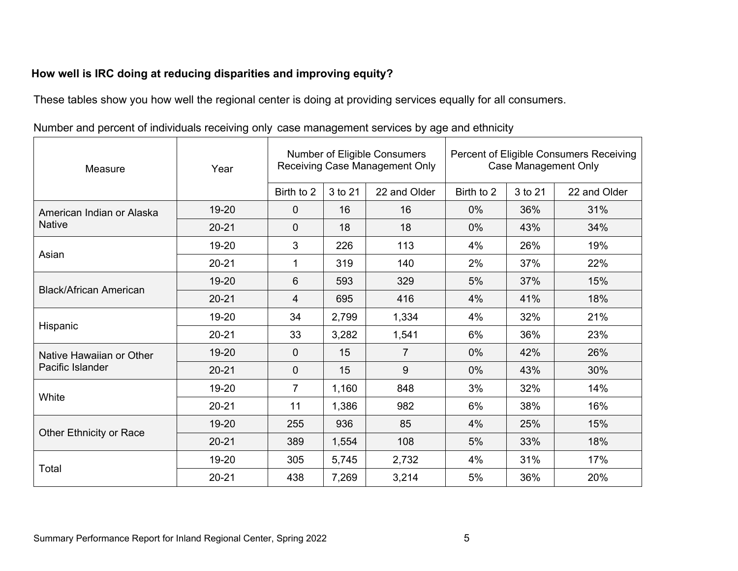# **How well is IRC doing at reducing disparities and improving equity?**

These tables show you how well the regional center is doing at providing services equally for all consumers.

| Measure                       | Year      | Number of Eligible Consumers<br>Receiving Case Management Only |         |                |            | Percent of Eligible Consumers Receiving<br><b>Case Management Only</b> |              |  |  |
|-------------------------------|-----------|----------------------------------------------------------------|---------|----------------|------------|------------------------------------------------------------------------|--------------|--|--|
|                               |           | Birth to 2                                                     | 3 to 21 | 22 and Older   | Birth to 2 | 3 to 21                                                                | 22 and Older |  |  |
| American Indian or Alaska     | 19-20     | $\overline{0}$                                                 | 16      | 16             | 0%         | 36%                                                                    | 31%          |  |  |
| <b>Native</b>                 | $20 - 21$ | $\overline{0}$                                                 | 18      | 18             | 0%         | 43%                                                                    | 34%          |  |  |
| Asian                         | 19-20     | 3                                                              | 226     | 113            | 4%         | 26%                                                                    | 19%          |  |  |
|                               | $20 - 21$ | 1                                                              | 319     | 140            | 2%         | 37%                                                                    | 22%          |  |  |
|                               | 19-20     | 6                                                              | 593     | 329            | 5%         | 37%                                                                    | 15%          |  |  |
| <b>Black/African American</b> | $20 - 21$ | 4                                                              | 695     | 416            | 4%         | 41%                                                                    | 18%          |  |  |
| Hispanic                      | 19-20     | 34                                                             | 2,799   | 1,334          | 4%         | 32%                                                                    | 21%          |  |  |
|                               | $20 - 21$ | 33                                                             | 3,282   | 1,541          | 6%         | 36%                                                                    | 23%          |  |  |
| Native Hawaiian or Other      | 19-20     | $\mathbf 0$                                                    | 15      | $\overline{7}$ | 0%         | 42%                                                                    | 26%          |  |  |
| Pacific Islander              | $20 - 21$ | 0                                                              | 15      | 9              | 0%         | 43%                                                                    | 30%          |  |  |
| White                         | 19-20     | $\overline{7}$                                                 | 1,160   | 848            | 3%         | 32%                                                                    | 14%          |  |  |
|                               | $20 - 21$ | 11                                                             | 1,386   | 982            | 6%         | 38%                                                                    | 16%          |  |  |
| Other Ethnicity or Race       | 19-20     | 255                                                            | 936     | 85             | 4%         | 25%                                                                    | 15%          |  |  |
|                               | $20 - 21$ | 389                                                            | 1,554   | 108            | 5%         | 33%                                                                    | 18%          |  |  |
|                               | 19-20     | 305                                                            | 5,745   | 2,732          | 4%         | 31%                                                                    | 17%          |  |  |
| Total                         | $20 - 21$ | 438                                                            | 7,269   | 3,214          | 5%         | 36%                                                                    | 20%          |  |  |

Number and percent of individuals receiving only case management services by age and ethnicity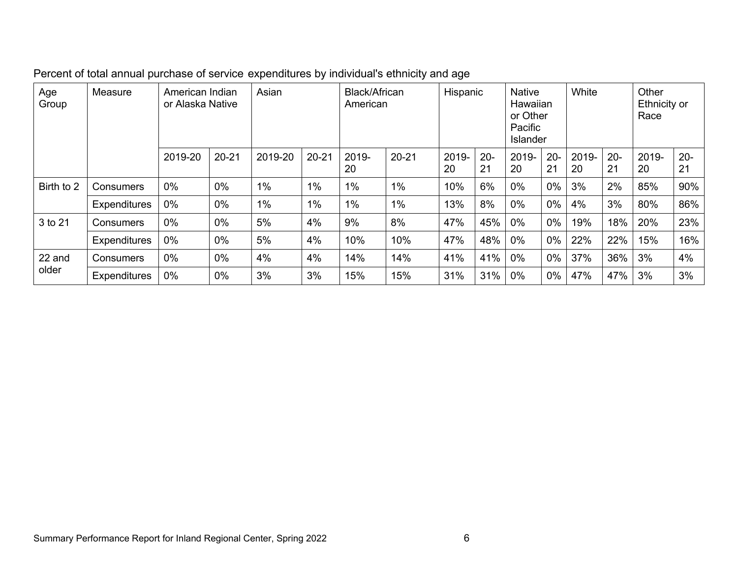| Age<br>Group | Measure             | American Indian<br>or Alaska Native |           | Asian   |           | Black/African<br>American |           | Hispanic    |              | <b>Native</b><br>Hawaiian<br>or Other<br>Pacific<br><b>Islander</b> |              | White       |              | Other<br>Ethnicity or<br>Race |              |
|--------------|---------------------|-------------------------------------|-----------|---------|-----------|---------------------------|-----------|-------------|--------------|---------------------------------------------------------------------|--------------|-------------|--------------|-------------------------------|--------------|
|              |                     | 2019-20                             | $20 - 21$ | 2019-20 | $20 - 21$ | 2019-<br>20               | $20 - 21$ | 2019-<br>20 | $20 -$<br>21 | 2019-<br>20                                                         | $20 -$<br>21 | 2019-<br>20 | $20 -$<br>21 | 2019-<br>20                   | $20 -$<br>21 |
| Birth to 2   | <b>Consumers</b>    | $0\%$                               | $0\%$     | $1\%$   | $1\%$     | 1%                        | $1\%$     | 10%         | 6%           | 0%                                                                  | 0%           | 3%          | 2%           | 85%                           | 90%          |
|              | <b>Expenditures</b> | $0\%$                               | $0\%$     | $1\%$   | $1\%$     | 1%                        | $1\%$     | 13%         | 8%           | 0%                                                                  | 0%           | 4%          | 3%           | 80%                           | 86%          |
| 3 to 21      | Consumers           | $0\%$                               | $0\%$     | 5%      | 4%        | 9%                        | 8%        | 47%         | 45%          | 0%                                                                  | 0%           | 19%         | 18%          | 20%                           | 23%          |
|              | <b>Expenditures</b> | 0%                                  | 0%        | 5%      | 4%        | 10%                       | 10%       | 47%         | 48%          | 0%                                                                  | 0%           | 22%         | 22%          | 15%                           | 16%          |
| 22 and       | Consumers           | $0\%$                               | $0\%$     | 4%      | 4%        | 14%                       | 14%       | 41%         | 41%          | 0%                                                                  | 0%           | 37%         | 36%          | 3%                            | 4%           |
| older        | <b>Expenditures</b> | 0%                                  | 0%        | 3%      | 3%        | 15%                       | 15%       | 31%         | 31%          | $0\%$                                                               | $0\%$        | 47%         | 47%          | 3%                            | 3%           |

Percent of total annual purchase of service expenditures by individual's ethnicity and age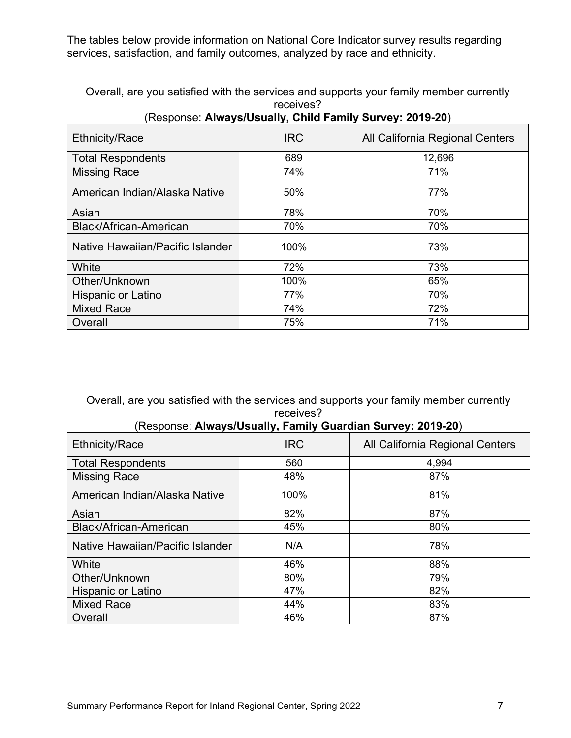The tables below provide information on National Core Indicator survey results regarding services, satisfaction, and family outcomes, analyzed by race and ethnicity.

Overall, are you satisfied with the services and supports your family member currently receives?

| <b>Ethnicity/Race</b>            | <b>IRC</b> | All California Regional Centers |
|----------------------------------|------------|---------------------------------|
| <b>Total Respondents</b>         | 689        | 12,696                          |
| <b>Missing Race</b>              | 74%        | 71%                             |
| American Indian/Alaska Native    | 50%        | 77%                             |
| Asian                            | 78%        | 70%                             |
| Black/African-American           | 70%        | 70%                             |
| Native Hawaiian/Pacific Islander | 100%       | 73%                             |
| White                            | 72%        | 73%                             |
| Other/Unknown                    | 100%       | 65%                             |
| <b>Hispanic or Latino</b>        | 77%        | 70%                             |
| <b>Mixed Race</b>                | 74%        | 72%                             |
| Overall                          | 75%        | 71%                             |

### (Response: **Always/Usually, Child Family Survey: 2019-20**)

Overall, are you satisfied with the services and supports your family member currently receives?

### (Response: **Always/Usually, Family Guardian Survey: 2019-20**)

| <b>Ethnicity/Race</b>            | <b>IRC</b> | All California Regional Centers |
|----------------------------------|------------|---------------------------------|
| <b>Total Respondents</b>         | 560        | 4,994                           |
| <b>Missing Race</b>              | 48%        | 87%                             |
| American Indian/Alaska Native    | 100%       | 81%                             |
| Asian                            | 82%        | 87%                             |
| <b>Black/African-American</b>    | 45%        | 80%                             |
| Native Hawaiian/Pacific Islander | N/A        | 78%                             |
| White                            | 46%        | 88%                             |
| Other/Unknown                    | 80%        | 79%                             |
| <b>Hispanic or Latino</b>        | 47%        | 82%                             |
| <b>Mixed Race</b>                | 44%        | 83%                             |
| Overall                          | 46%        | 87%                             |